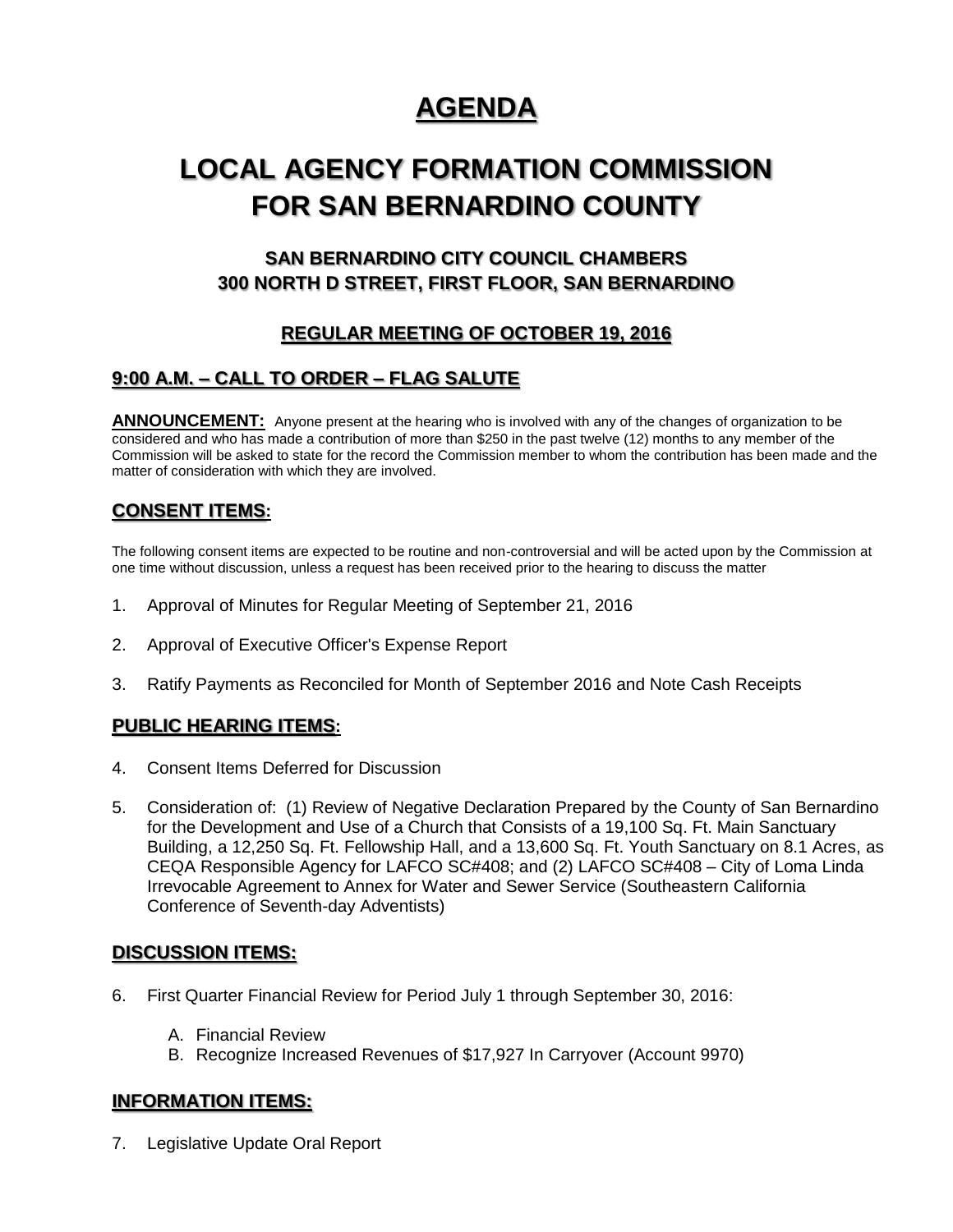# **AGENDA**

# **LOCAL AGENCY FORMATION COMMISSION FOR SAN BERNARDINO COUNTY**

# **SAN BERNARDINO CITY COUNCIL CHAMBERS 300 NORTH D STREET, FIRST FLOOR, SAN BERNARDINO**

# **REGULAR MEETING OF OCTOBER 19, 2016**

# **9:00 A.M. – CALL TO ORDER – FLAG SALUTE**

**ANNOUNCEMENT:** Anyone present at the hearing who is involved with any of the changes of organization to be considered and who has made a contribution of more than \$250 in the past twelve (12) months to any member of the Commission will be asked to state for the record the Commission member to whom the contribution has been made and the matter of consideration with which they are involved.

## **CONSENT ITEMS:**

The following consent items are expected to be routine and non-controversial and will be acted upon by the Commission at one time without discussion, unless a request has been received prior to the hearing to discuss the matter

- 1. Approval of Minutes for Regular Meeting of September 21, 2016
- 2. Approval of Executive Officer's Expense Report
- 3. Ratify Payments as Reconciled for Month of September 2016 and Note Cash Receipts

### **PUBLIC HEARING ITEMS:**

- 4. Consent Items Deferred for Discussion
- 5. Consideration of: (1) Review of Negative Declaration Prepared by the County of San Bernardino for the Development and Use of a Church that Consists of a 19,100 Sq. Ft. Main Sanctuary Building, a 12,250 Sq. Ft. Fellowship Hall, and a 13,600 Sq. Ft. Youth Sanctuary on 8.1 Acres, as CEQA Responsible Agency for LAFCO SC#408; and (2) LAFCO SC#408 – City of Loma Linda Irrevocable Agreement to Annex for Water and Sewer Service (Southeastern California Conference of Seventh-day Adventists)

### **DISCUSSION ITEMS:**

- 6. First Quarter Financial Review for Period July 1 through September 30, 2016:
	- A. Financial Review
	- B. Recognize Increased Revenues of \$17,927 In Carryover (Account 9970)

### **INFORMATION ITEMS:**

7. Legislative Update Oral Report